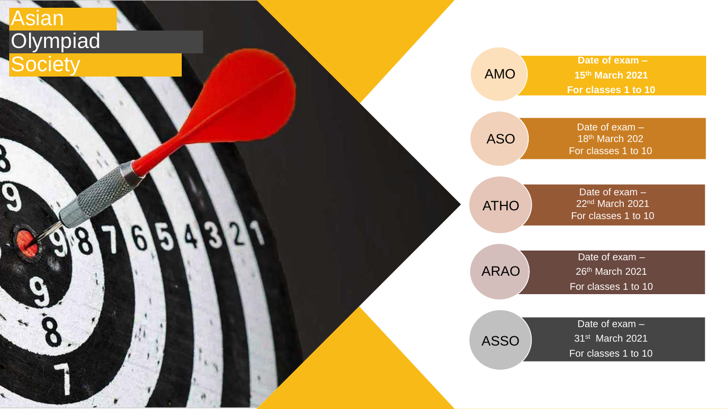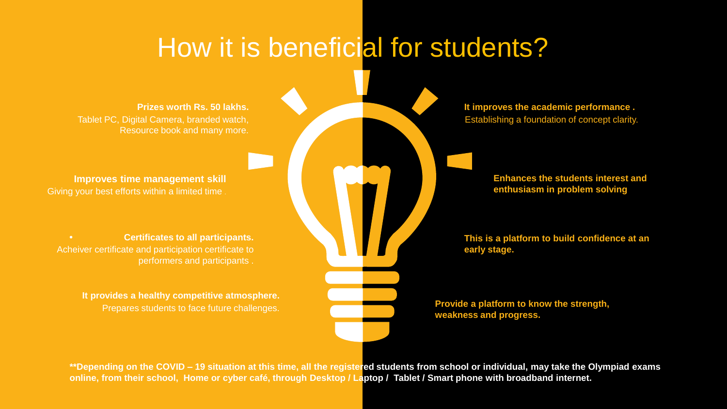## How it is beneficial for students?

**Prizes worth Rs. 50 lakhs.** Tablet PC, Digital Camera, branded watch, Resource book and many more.

**Improves time management skill** Giving your best efforts within a limited time .

**• Certificates to all participants.** Acheiver certificate and participation certificate to performers and participants .

> **It provides a healthy competitive atmosphere.** Prepares students to face future challenges.

**It improves the academic performance .** Establishing a foundation of concept clarity.

> **Enhances the students interest and enthusiasm in problem solving**

**This is a platform to build confidence at an early stage.**

**Provide a platform to know the strength, weakness and progress.** 

**\*\*Depending on the COVID – 19 situation at this time, all the registered students from school or individual, may take the Olympiad exams online, from their school, Home or cyber café, through Desktop / Laptop / Tablet / Smart phone with broadband internet.**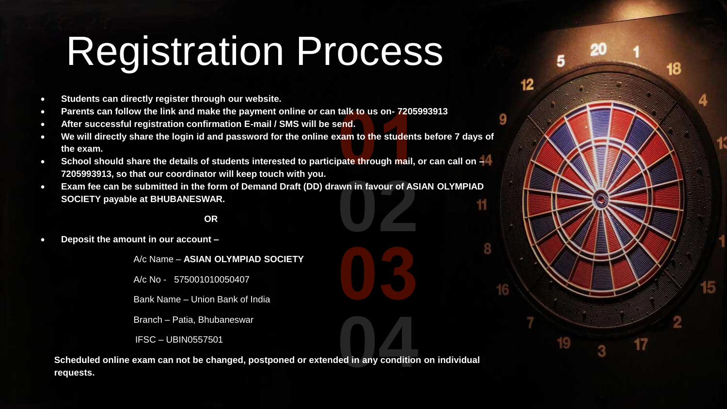# Registration Process

5

 $12$ 

9

18

- **Students can directly register through our website.**
- **Parents can follow the link and make the payment online or can talk to us on- 7205993913**
- **After successful registration confirmation E-mail / SMS will be send.**
- **We will directly share the login id and password for the online exam to the students before 7 days of the exam.**
- **School should share the details of students interested to participate through mail, or can call on – 7205993913, so that our coordinator will keep touch with you.**
- wn in favour of AS<br>**022**<br>1222<br>1222 • **Exam fee can be submitted in the form of Demand Draft (DD) drawn in favour of ASIAN OLYMPIAD SOCIETY payable at BHUBANESWAR.** 11

### **OR**

• **Deposit the amount in our account –**

A/c Name – **ASIAN OLYMPIAD SOCIETY**

A/c No - 575001010050407

Bank Name – Union Bank of India

Branch – Patia, Bhubaneswar

IFSC – UBIN0557501

**1444**<br> **1444**<br> **1444**<br> **1444**<br> **1444**<br> **1444**<br> **1444**<br> **1444**<br> **1444**<br> **1444**<br> **1444 Scheduled online exam can not be changed, postponed or extended in any condition on individual requests.**